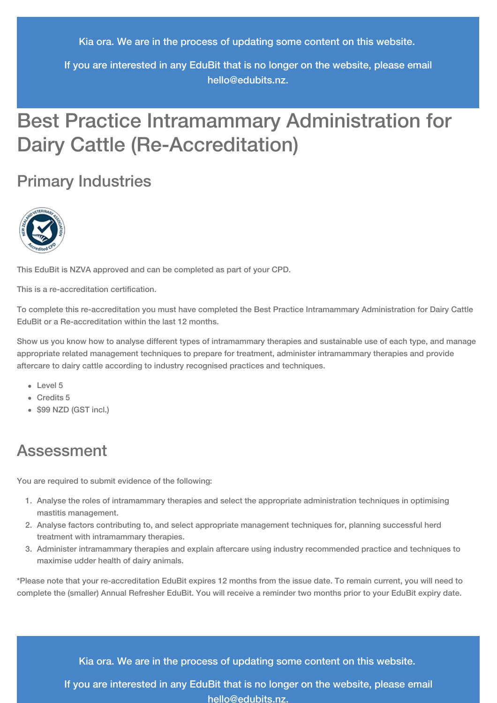Kia ora. We are in the process of updating some content on this website.

If you are interested in any EduBit that is no longer on the website, please email [hello@edubits.nz](mailto:hello@edubits.nz).

# Best Practice Intramammary Administration for Dairy Cattle (Re-Accreditation)

## Primary Industries



This EduBit is NZVA approved and can be completed as part of your CPD.

This is a re-accreditation certification.

To complete this re-accreditation you must have completed the Best Practice Intramammary Administration for Dairy Cattle EduBit or a Re-accreditation within the last 12 months.

Show us you know how to analyse different types of intramammary therapies and sustainable use of each type, and manage appropriate related management techniques to prepare for treatment, administer intramammary therapies and provide aftercare to dairy cattle according to industry recognised practices and techniques.

- Level 5
- Credits 5
- \$99 NZD (GST incl.)

## Assessment

You are required to submit evidence of the following:

- 1. Analyse the roles of intramammary therapies and select the appropriate administration techniques in optimising mastitis management.
- 2. Analyse factors contributing to, and select appropriate management techniques for, planning successful herd treatment with intramammary therapies.
- 3. Administer intramammary therapies and explain aftercare using industry recommended practice and techniques to maximise udder health of dairy animals.

\*Please note that your re-accreditation EduBit expires 12 months from the issue date. To remain current, you will need to complete the (smaller) Annual Refresher EduBit. You will receive a reminder two months prior to your EduBit expiry date.

Kia ora. We are in the process of updating some content on this website.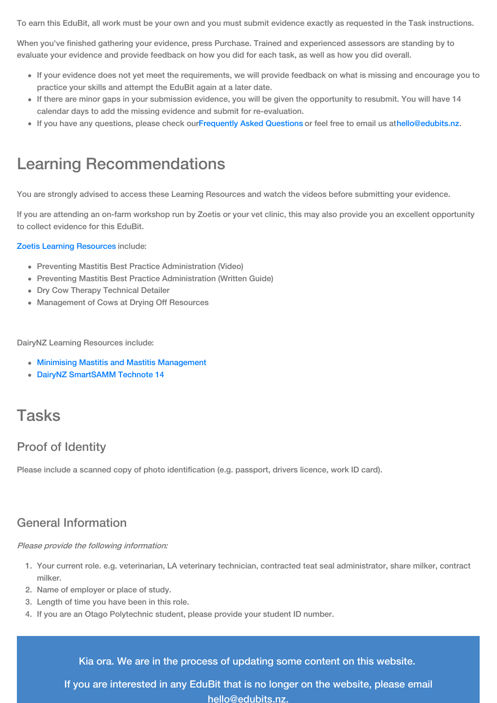To earn this EduBit, all work must be your own and you must submit evidence exactly as requested in the Task instructions.

When you've finished gathering your evidence, press Purchase. Trained and experienced assessors are standing by to evaluate your evidence and provide feedback on how you did for each task, as well as how you did overall.

- If your evidence does not yet meet the requirements, we will provide feedback on what is missing and encourage you to practice your skills and attempt the EduBit again at a later date.
- If there are minor gaps in your submission evidence, you will be given the opportunity to resubmit. You will have 14 calendar days to add the missing evidence and submit for re-evaluation.
- If you have any questions, please check our[Frequently](https://edubits.nz/help/faqs/) Asked Questions or feel free to email us at[hello@edubits.nz](mailto:hello@edubits.nz).

## Learning Recommendations

You are strongly advised to access these Learning Resources and watch the videos before submitting your evidence.

If you are attending an on-farm workshop run by Zoetis or your vet clinic, this may also provide you an excellent opportunity to collect evidence for this EduBit.

#### Zoetis Learning [Resources](https://www.zoetis.co.nz/livestocksolutions/dairywellness/preventing-mastisis/downloadable-resources.aspx) include:

- Preventing Mastitis Best Practice Administration (Video)
- Preventing Mastitis Best Practice Administration (Written Guide)
- Dry Cow Therapy Technical Detailer
- Management of Cows at Drying Off Resources

DairyNZ Learning Resources include:

- Minimising Mastitis and Mastitis [Management](https://www.dairynz.co.nz/animal/cow-health/mastitis/)
- DairyNZ [SmartSAMM](https://www.dairynz.co.nz/animal/cow-health/mastitis/tools-and-resources/guidelines-and-technotes/technote-14) Technote 14

## Tasks

### Proof of Identity

Please include a scanned copy of photo identification (e.g. passport, drivers licence, work ID card).

### General Information

#### Please provide the following information:

- 1. Your current role. e.g. veterinarian, LA veterinary technician, contracted teat seal administrator, share milker, contract milker.
- 2. Name of employer or place of study.
- 3. Length of time you have been in this role.
- 4. If you are an Otago Polytechnic student, please provide your student ID number.

Kia ora. We are in the process of updating some content on this website.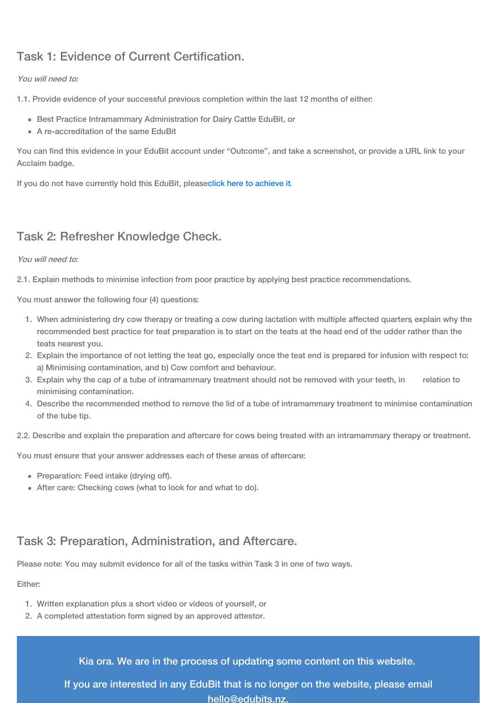## Task 1: Evidence of Current Certification.

#### You will need to:

1.1. Provide evidence of your successful previous completion within the last 12 months of either:

- Best Practice Intramammary Administration for Dairy Cattle EduBit, or
- A re-accreditation of the same EduBit

You can find this evidence in your EduBit account under "Outcome", and take a screenshot, or provide a URL link to your Acclaim badge.

If you do not have currently hold this EduBit, pleaseclick here to [achieve](https://edubits.nz/eduassessmentcriteria/141) it.

### Task 2: Refresher Knowledge Check.

#### You will need to:

2.1. Explain methods to minimise infection from poor practice by applying best practice recommendations.

You must answer the following four (4) questions:

- 1. When administering dry cow therapy or treating a cow during lactation with multiple affected quarters, explain why the recommended best practice for teat preparation is to start on the teats at the head end of the udder rather than the teats nearest you.
- 2. Explain the importance of not letting the teat go, especially once the teat end is prepared for infusion with respect to: a) Minimising contamination, and b) Cow comfort and behaviour.
- 3. Explain why the cap of a tube of intramammary treatment should not be removed with your teeth, in relation to minimising contamination.
- 4. Describe the recommended method to remove the lid of a tube of intramammary treatment to minimise contamination of the tube tip.
- 2.2. Describe and explain the preparation and aftercare for cows being treated with an intramammary therapy or treatment.

You must ensure that your answer addresses each of these areas of aftercare:

- Preparation: Feed intake (drying off).
- After care: Checking cows (what to look for and what to do).

### Task 3: Preparation, Administration, and Aftercare.

Please note: You may submit evidence for all of the tasks within Task 3 in one of two ways.

Either:

- 1. Written explanation plus a short video or videos of yourself, or
- 2. A completed attestation form signed by an approved attestor.

Kia ora. We are in the process of updating some content on this website.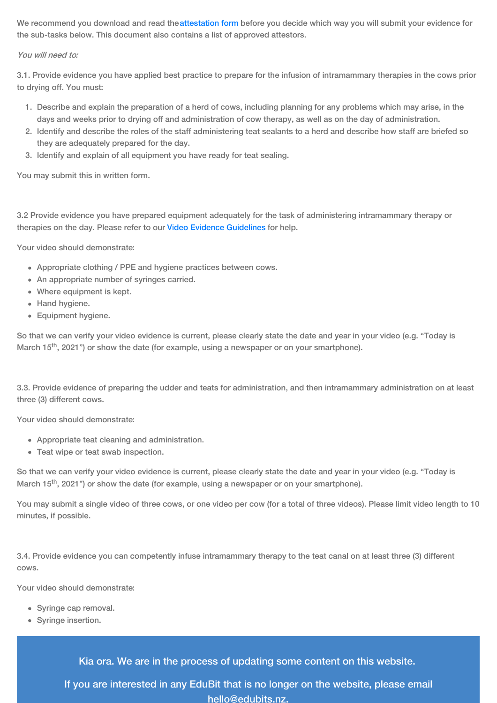We recommend you download and read th[eattestation](http://op.cwp.govt.nz/assets/EduBit-file-attachments/Attestation-forms/Primary-Industries/Best-Practice-Intramammary_Attesation-form.docx) form before you decide which way you will submit your evidence for the sub-tasks below. This document also contains a list of approved attestors.

#### You will need to:

3.1. Provide evidence you have applied best practice to prepare for the infusion of intramammary therapies in the cows prior to drying off. You must:

- 1. Describe and explain the preparation of a herd of cows, including planning for any problems which may arise, in the days and weeks prior to drying off and administration of cow therapy, as well as on the day of administration.
- 2. Identify and describe the roles of the staff administering teat sealants to a herd and describe how staff are briefed so they are adequately prepared for the day.
- 3. Identify and explain of all equipment you have ready for teat sealing.

You may submit this in written form.

3.2 Provide evidence you have prepared equipment adequately for the task of administering intramammary therapy or therapies on the day. Please refer to our Video Evidence [Guidelines](https://edubits.nz/help/evidence-guidelines#videos) for help.

Your video should demonstrate:

- Appropriate clothing / PPE and hygiene practices between cows.
- An appropriate number of syringes carried.
- Where equipment is kept.
- Hand hygiene.
- Equipment hygiene.

So that we can verify your video evidence is current, please clearly state the date and year in your video (e.g. "Today is March 15<sup>th</sup>, 2021") or show the date (for example, using a newspaper or on your smartphone).

3.3. Provide evidence of preparing the udder and teats for administration, and then intramammary administration on at least three (3) different cows.

Your video should demonstrate:

- Appropriate teat cleaning and administration.
- Teat wipe or teat swab inspection.

So that we can verify your video evidence is current, please clearly state the date and year in your video (e.g. "Today is March 15<sup>th</sup>, 2021") or show the date (for example, using a newspaper or on your smartphone).

You may submit a single video of three cows, or one video per cow (for a total of three videos). Please limit video length to 10 minutes, if possible.

3.4. Provide evidence you can competently infuse intramammary therapy to the teat canal on at least three (3) different cows.

Your video should demonstrate:

- Syringe cap removal.
- Syringe insertion.

Kia ora. We are in the process of updating some content on this website.

If you are interested in any EduBit [that](mailto:hello@edubits.nz) is no longer on the website, please email hello@edubits.nz.